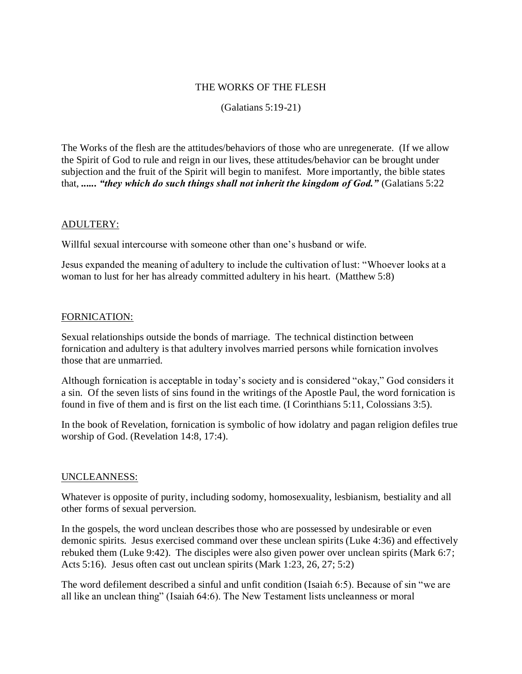## THE WORKS OF THE FLESH

(Galatians 5:19-21)

The Works of the flesh are the attitudes/behaviors of those who are unregenerate. (If we allow the Spirit of God to rule and reign in our lives, these attitudes/behavior can be brought under subjection and the fruit of the Spirit will begin to manifest. More importantly, the bible states that, *...... "they which do such things shall not inherit the kingdom of God."* (Galatians 5:22

## ADULTERY:

Willful sexual intercourse with someone other than one's husband or wife.

Jesus expanded the meaning of adultery to include the cultivation of lust: "Whoever looks at a woman to lust for her has already committed adultery in his heart. (Matthew 5:8)

# FORNICATION:

Sexual relationships outside the bonds of marriage. The technical distinction between fornication and adultery is that adultery involves married persons while fornication involves those that are unmarried.

Although fornication is acceptable in today's society and is considered "okay," God considers it a sin. Of the seven lists of sins found in the writings of the Apostle Paul, the word fornication is found in five of them and is first on the list each time. (I Corinthians 5:11, Colossians 3:5).

In the book of Revelation, fornication is symbolic of how idolatry and pagan religion defiles true worship of God. (Revelation 14:8, 17:4).

## UNCLEANNESS:

Whatever is opposite of purity, including sodomy, homosexuality, lesbianism, bestiality and all other forms of sexual perversion.

In the gospels, the word unclean describes those who are possessed by undesirable or even demonic spirits. Jesus exercised command over these unclean spirits (Luke 4:36) and effectively rebuked them (Luke 9:42). The disciples were also given power over unclean spirits (Mark 6:7; Acts 5:16). Jesus often cast out unclean spirits (Mark 1:23, 26, 27; 5:2)

The word defilement described a sinful and unfit condition (Isaiah 6:5). Because of sin "we are all like an unclean thing" (Isaiah 64:6). The New Testament lists uncleanness or moral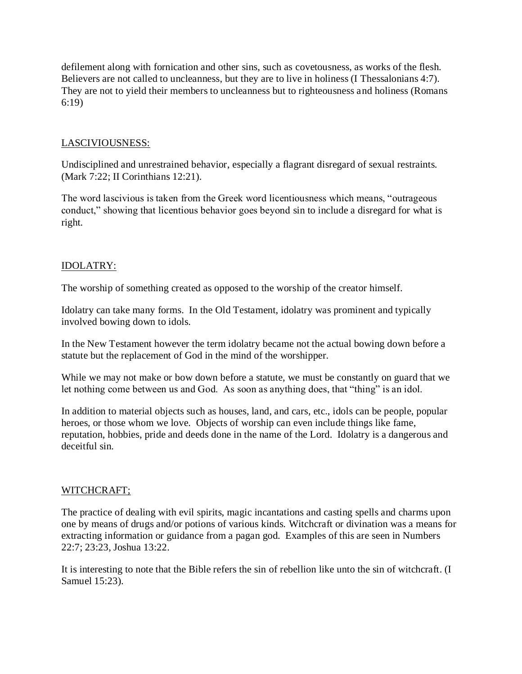defilement along with fornication and other sins, such as covetousness, as works of the flesh. Believers are not called to uncleanness, but they are to live in holiness (I Thessalonians 4:7). They are not to yield their members to uncleanness but to righteousness and holiness (Romans 6:19)

# LASCIVIOUSNESS:

Undisciplined and unrestrained behavior, especially a flagrant disregard of sexual restraints. (Mark 7:22; II Corinthians 12:21).

The word lascivious is taken from the Greek word licentiousness which means, "outrageous conduct," showing that licentious behavior goes beyond sin to include a disregard for what is right.

# IDOLATRY:

The worship of something created as opposed to the worship of the creator himself.

Idolatry can take many forms. In the Old Testament, idolatry was prominent and typically involved bowing down to idols.

In the New Testament however the term idolatry became not the actual bowing down before a statute but the replacement of God in the mind of the worshipper.

While we may not make or bow down before a statute, we must be constantly on guard that we let nothing come between us and God. As soon as anything does, that "thing" is an idol.

In addition to material objects such as houses, land, and cars, etc., idols can be people, popular heroes, or those whom we love. Objects of worship can even include things like fame, reputation, hobbies, pride and deeds done in the name of the Lord. Idolatry is a dangerous and deceitful sin.

## WITCHCRAFT;

The practice of dealing with evil spirits, magic incantations and casting spells and charms upon one by means of drugs and/or potions of various kinds. Witchcraft or divination was a means for extracting information or guidance from a pagan god. Examples of this are seen in Numbers 22:7; 23:23, Joshua 13:22.

It is interesting to note that the Bible refers the sin of rebellion like unto the sin of witchcraft. (I Samuel 15:23).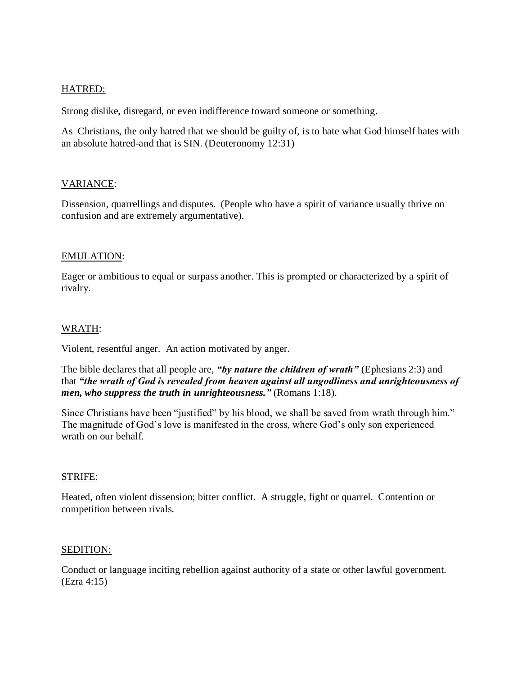### HATRED:

Strong dislike, disregard, or even indifference toward someone or something.

As Christians, the only hatred that we should be guilty of, is to hate what God himself hates with an absolute hatred-and that is SIN. (Deuteronomy 12:31)

### VARIANCE:

Dissension, quarrellings and disputes. (People who have a spirit of variance usually thrive on confusion and are extremely argumentative).

### EMULATION:

Eager or ambitious to equal or surpass another. This is prompted or characterized by a spirit of rivalry.

### WRATH:

Violent, resentful anger. An action motivated by anger.

The bible declares that all people are, *"by nature the children of wrath"* (Ephesians 2:3) and that *"the wrath of God is revealed from heaven against all ungodliness and unrighteousness of men, who suppress the truth in unrighteousness."* (Romans 1:18).

Since Christians have been "justified" by his blood, we shall be saved from wrath through him." The magnitude of God's love is manifested in the cross, where God's only son experienced wrath on our behalf.

#### STRIFE:

Heated, often violent dissension; bitter conflict. A struggle, fight or quarrel. Contention or competition between rivals.

#### SEDITION:

Conduct or language inciting rebellion against authority of a state or other lawful government. (Ezra 4:15)